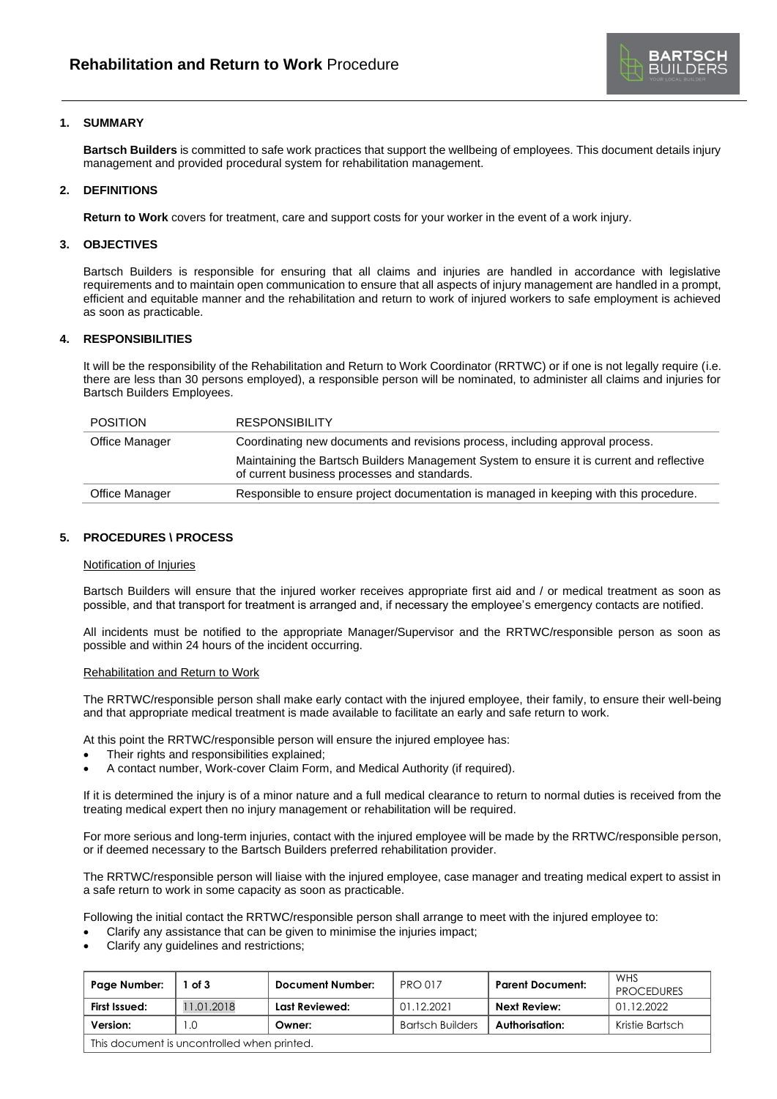

# **1. SUMMARY**

**Bartsch Builders** is committed to safe work practices that support the wellbeing of employees. This document details injury management and provided procedural system for rehabilitation management.

## **2. DEFINITIONS**

**Return to Work** covers for treatment, care and support costs for your worker in the event of a work injury.

## **3. OBJECTIVES**

Bartsch Builders is responsible for ensuring that all claims and injuries are handled in accordance with legislative requirements and to maintain open communication to ensure that all aspects of injury management are handled in a prompt, efficient and equitable manner and the rehabilitation and return to work of injured workers to safe employment is achieved as soon as practicable.

### **4. RESPONSIBILITIES**

It will be the responsibility of the Rehabilitation and Return to Work Coordinator (RRTWC) or if one is not legally require (i.e. there are less than 30 persons employed), a responsible person will be nominated, to administer all claims and injuries for Bartsch Builders Employees.

| <b>POSITION</b> | <b>RESPONSIBILITY</b>                                                                                                                     |
|-----------------|-------------------------------------------------------------------------------------------------------------------------------------------|
| Office Manager  | Coordinating new documents and revisions process, including approval process.                                                             |
|                 | Maintaining the Bartsch Builders Management System to ensure it is current and reflective<br>of current business processes and standards. |
| Office Manager  | Responsible to ensure project documentation is managed in keeping with this procedure.                                                    |

# **5. PROCEDURES \ PROCESS**

### Notification of Injuries

Bartsch Builders will ensure that the injured worker receives appropriate first aid and / or medical treatment as soon as possible, and that transport for treatment is arranged and, if necessary the employee's emergency contacts are notified.

All incidents must be notified to the appropriate Manager/Supervisor and the RRTWC/responsible person as soon as possible and within 24 hours of the incident occurring.

### Rehabilitation and Return to Work

The RRTWC/responsible person shall make early contact with the injured employee, their family, to ensure their well-being and that appropriate medical treatment is made available to facilitate an early and safe return to work.

At this point the RRTWC/responsible person will ensure the injured employee has:

- Their rights and responsibilities explained;
- A contact number, Work-cover Claim Form, and Medical Authority (if required).

If it is determined the injury is of a minor nature and a full medical clearance to return to normal duties is received from the treating medical expert then no injury management or rehabilitation will be required.

For more serious and long-term injuries, contact with the injured employee will be made by the RRTWC/responsible person, or if deemed necessary to the Bartsch Builders preferred rehabilitation provider.

The RRTWC/responsible person will liaise with the injured employee, case manager and treating medical expert to assist in a safe return to work in some capacity as soon as practicable.

Following the initial contact the RRTWC/responsible person shall arrange to meet with the injured employee to:

- Clarify any assistance that can be given to minimise the injuries impact;
- Clarify any guidelines and restrictions;

| Page Number:                                | of 3       | <b>Document Number:</b> | <b>PRO 017</b>          | <b>Parent Document:</b> | WHS<br><b>PROCEDURES</b> |
|---------------------------------------------|------------|-------------------------|-------------------------|-------------------------|--------------------------|
| First Issued:                               | 11.01.2018 | Last Reviewed:          | 01.12.2021              | Next Review:            | 01.12.2022               |
| Version:                                    | $\Omega$   | Owner:                  | <b>Bartsch Builders</b> | Authorisation:          | Kristie Bartsch          |
| This document is uncontrolled when printed. |            |                         |                         |                         |                          |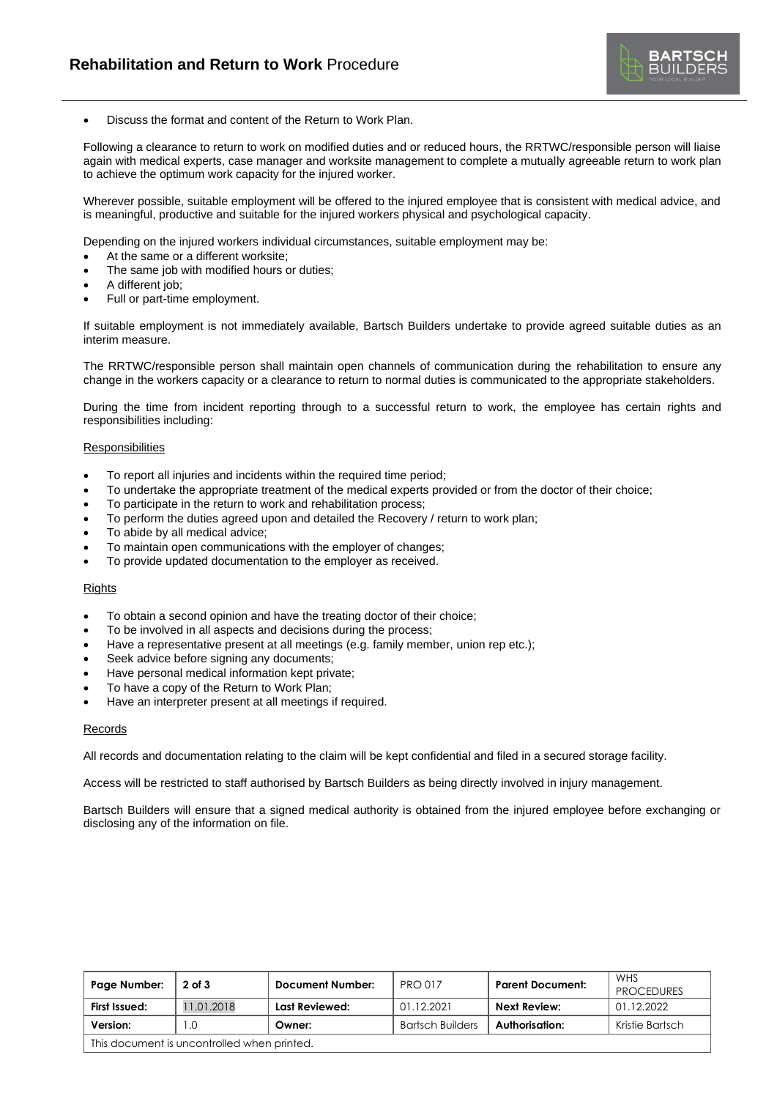

• Discuss the format and content of the Return to Work Plan.

Following a clearance to return to work on modified duties and or reduced hours, the RRTWC/responsible person will liaise again with medical experts, case manager and worksite management to complete a mutually agreeable return to work plan to achieve the optimum work capacity for the injured worker.

Wherever possible, suitable employment will be offered to the injured employee that is consistent with medical advice, and is meaningful, productive and suitable for the injured workers physical and psychological capacity.

Depending on the injured workers individual circumstances, suitable employment may be:

- At the same or a different worksite;
- The same job with modified hours or duties;
- A different job;
- Full or part-time employment.

If suitable employment is not immediately available, Bartsch Builders undertake to provide agreed suitable duties as an interim measure.

The RRTWC/responsible person shall maintain open channels of communication during the rehabilitation to ensure any change in the workers capacity or a clearance to return to normal duties is communicated to the appropriate stakeholders.

During the time from incident reporting through to a successful return to work, the employee has certain rights and responsibilities including:

#### **Responsibilities**

- To report all injuries and incidents within the required time period;
- To undertake the appropriate treatment of the medical experts provided or from the doctor of their choice;
- To participate in the return to work and rehabilitation process;
- To perform the duties agreed upon and detailed the Recovery / return to work plan;
- To abide by all medical advice;
- To maintain open communications with the employer of changes;
- To provide updated documentation to the employer as received.

#### **Rights**

- To obtain a second opinion and have the treating doctor of their choice;
- To be involved in all aspects and decisions during the process;
- Have a representative present at all meetings (e.g. family member, union rep etc.);
- Seek advice before signing any documents;
- Have personal medical information kept private;
- To have a copy of the Return to Work Plan;
- Have an interpreter present at all meetings if required.

#### Records

All records and documentation relating to the claim will be kept confidential and filed in a secured storage facility.

Access will be restricted to staff authorised by Bartsch Builders as being directly involved in injury management.

Bartsch Builders will ensure that a signed medical authority is obtained from the injured employee before exchanging or disclosing any of the information on file.

| Page Number:                                | $2$ of $3$ | <b>Document Number:</b> | <b>PRO 017</b>          | <b>Parent Document:</b> | WHS<br><b>PROCEDURES</b> |
|---------------------------------------------|------------|-------------------------|-------------------------|-------------------------|--------------------------|
| First Issued:                               | 11.01.2018 | Last Reviewed:          | 01.12.2021              | Next Review:            | 01.12.2022               |
| Version:                                    | .0         | Owner:                  | <b>Bartsch Builders</b> | Authorisation:          | Kristie Bartsch          |
| This document is uncontrolled when printed. |            |                         |                         |                         |                          |